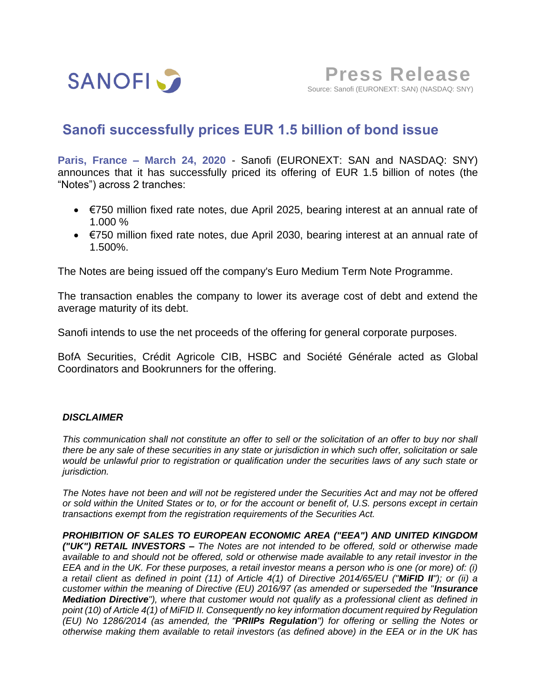

# **Sanofi successfully prices EUR 1.5 billion of bond issue**

**Paris, France – March 24, 2020** - Sanofi (EURONEXT: SAN and NASDAQ: SNY) announces that it has successfully priced its offering of EUR 1.5 billion of notes (the "Notes") across 2 tranches:

- $\bullet$   $\epsilon$ 750 million fixed rate notes, due April 2025, bearing interest at an annual rate of 1.000 %
- €750 million fixed rate notes, due April 2030, bearing interest at an annual rate of 1.500%.

The Notes are being issued off the company's Euro Medium Term Note Programme.

The transaction enables the company to lower its average cost of debt and extend the average maturity of its debt.

Sanofi intends to use the net proceeds of the offering for general corporate purposes.

BofA Securities, Crédit Agricole CIB, HSBC and Société Générale acted as Global Coordinators and Bookrunners for the offering.

## *DISCLAIMER*

*This communication shall not constitute an offer to sell or the solicitation of an offer to buy nor shall there be any sale of these securities in any state or jurisdiction in which such offer, solicitation or sale would be unlawful prior to registration or qualification under the securities laws of any such state or jurisdiction.*

*The Notes have not been and will not be registered under the Securities Act and may not be offered or sold within the United States or to, or for the account or benefit of, U.S. persons except in certain transactions exempt from the registration requirements of the Securities Act.*

*PROHIBITION OF SALES TO EUROPEAN ECONOMIC AREA ("EEA") AND UNITED KINGDOM ("UK") RETAIL INVESTORS – The Notes are not intended to be offered, sold or otherwise made available to and should not be offered, sold or otherwise made available to any retail investor in the EEA and in the UK. For these purposes, a retail investor means a person who is one (or more) of: (i) a retail client as defined in point (11) of Article 4(1) of Directive 2014/65/EU ("MiFID II"); or (ii) a customer within the meaning of Directive (EU) 2016/97 (as amended or superseded the "Insurance Mediation Directive"), where that customer would not qualify as a professional client as defined in point (10) of Article 4(1) of MiFID II. Consequently no key information document required by Regulation (EU) No 1286/2014 (as amended, the "PRIIPs Regulation") for offering or selling the Notes or otherwise making them available to retail investors (as defined above) in the EEA or in the UK has*